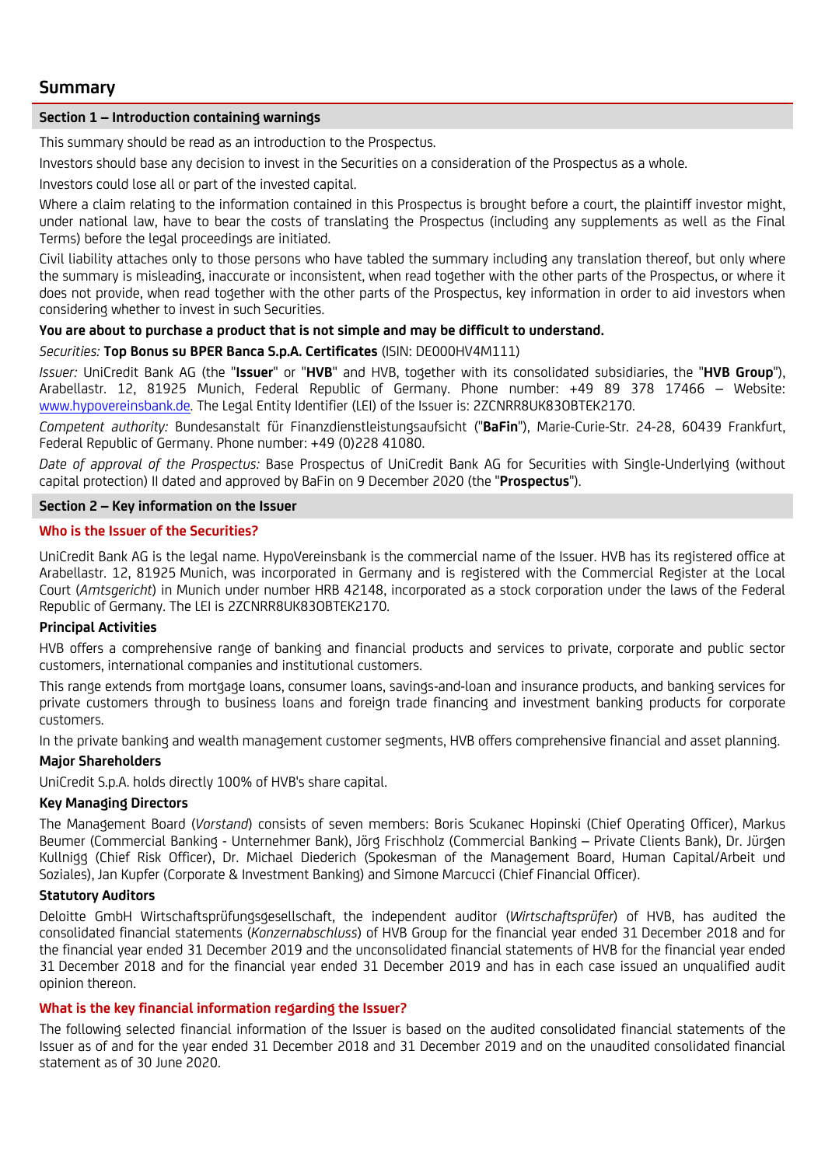# **Summary**

### **Section 1 – Introduction containing warnings**

This summary should be read as an introduction to the Prospectus.

Investors should base any decision to invest in the Securities on a consideration of the Prospectus as a whole.

Investors could lose all or part of the invested capital.

Where a claim relating to the information contained in this Prospectus is brought before a court, the plaintiff investor might, under national law, have to bear the costs of translating the Prospectus (including any supplements as well as the Final Terms) before the legal proceedings are initiated.

Civil liability attaches only to those persons who have tabled the summary including any translation thereof, but only where the summary is misleading, inaccurate or inconsistent, when read together with the other parts of the Prospectus, or where it does not provide, when read together with the other parts of the Prospectus, key information in order to aid investors when considering whether to invest in such Securities.

### **You are about to purchase a product that is not simple and may be difficult to understand.**

### *Securities:* **Top Bonus su BPER Banca S.p.A. Certificates** (ISIN: DE000HV4M111)

*Issuer:* UniCredit Bank AG (the "**Issuer**" or "**HVB**" and HVB, together with its consolidated subsidiaries, the "**HVB Group**"), Arabellastr. 12, 81925 Munich, Federal Republic of Germany. Phone number: +49 89 378 17466 – Website: [www.hypovereinsbank.de](http://www.hypovereinsbank.de/). The Legal Entity Identifier (LEI) of the Issuer is: 2ZCNRR8UK83OBTEK2170.

*Competent authority:* Bundesanstalt für Finanzdienstleistungsaufsicht ("**BaFin**"), Marie-Curie-Str. 24-28, 60439 Frankfurt, Federal Republic of Germany. Phone number: +49 (0)228 41080.

*Date of approval of the Prospectus:* Base Prospectus of UniCredit Bank AG for Securities with Single-Underlying (without capital protection) II dated and approved by BaFin on 9 December 2020 (the "**Prospectus**").

### **Section 2 – Key information on the Issuer**

### **Who is the Issuer of the Securities?**

UniCredit Bank AG is the legal name. HypoVereinsbank is the commercial name of the Issuer. HVB has its registered office at Arabellastr. 12, 81925 Munich, was incorporated in Germany and is registered with the Commercial Register at the Local Court (*Amtsgericht*) in Munich under number HRB 42148, incorporated as a stock corporation under the laws of the Federal Republic of Germany. The LEI is 2ZCNRR8UK83OBTEK2170.

### **Principal Activities**

HVB offers a comprehensive range of banking and financial products and services to private, corporate and public sector customers, international companies and institutional customers.

This range extends from mortgage loans, consumer loans, savings-and-loan and insurance products, and banking services for private customers through to business loans and foreign trade financing and investment banking products for corporate customers.

In the private banking and wealth management customer segments, HVB offers comprehensive financial and asset planning.

### **Major Shareholders**

UniCredit S.p.A. holds directly 100% of HVB's share capital.

#### **Key Managing Directors**

The Management Board (*Vorstand*) consists of seven members: Boris Scukanec Hopinski (Chief Operating Officer), Markus Beumer (Commercial Banking - Unternehmer Bank), Jörg Frischholz (Commercial Banking – Private Clients Bank), Dr. Jürgen Kullnigg (Chief Risk Officer), Dr. Michael Diederich (Spokesman of the Management Board, Human Capital/Arbeit und Soziales), Jan Kupfer (Corporate & Investment Banking) and Simone Marcucci (Chief Financial Officer).

### **Statutory Auditors**

Deloitte GmbH Wirtschaftsprüfungsgesellschaft, the independent auditor (*Wirtschaftsprüfer*) of HVB, has audited the consolidated financial statements (*Konzernabschluss*) of HVB Group for the financial year ended 31 December 2018 and for the financial year ended 31 December 2019 and the unconsolidated financial statements of HVB for the financial year ended 31 December 2018 and for the financial year ended 31 December 2019 and has in each case issued an unqualified audit opinion thereon.

### **What is the key financial information regarding the Issuer?**

The following selected financial information of the Issuer is based on the audited consolidated financial statements of the Issuer as of and for the year ended 31 December 2018 and 31 December 2019 and on the unaudited consolidated financial statement as of 30 June 2020.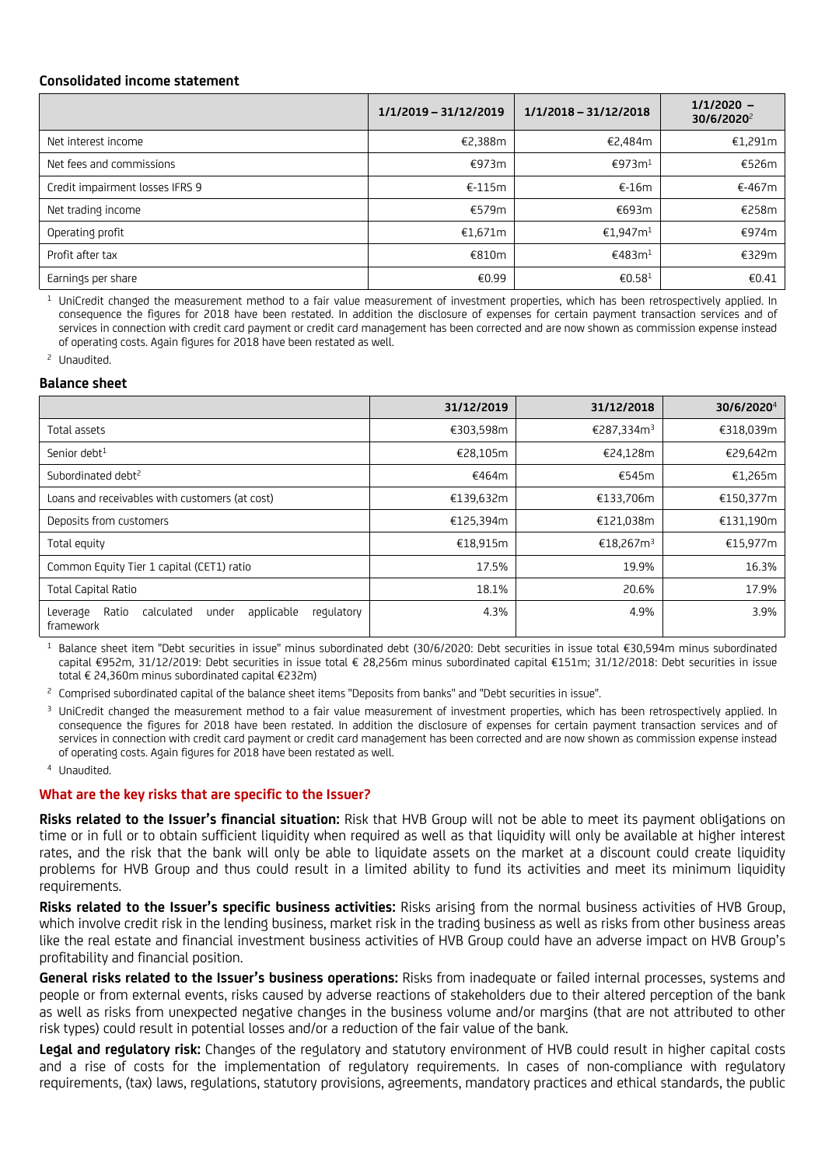### **Consolidated income statement**

|                                 | 1/1/2019 - 31/12/2019 | $1/1/2018 - 31/12/2018$ | $1/1/2020 -$<br>30/6/2020 <sup>2</sup> |
|---------------------------------|-----------------------|-------------------------|----------------------------------------|
| Net interest income             | €2,388m               | €2,484m                 | €1,291m                                |
| Net fees and commissions        | €973m                 | €973m <sup>1</sup>      | €526m                                  |
| Credit impairment losses IFRS 9 | $€-115m$              | €-16m                   | €-467m                                 |
| Net trading income              | €579m                 | €693m                   | €258m                                  |
| Operating profit                | €1,671m               | €1.947m <sup>1</sup>    | €974m                                  |
| Profit after tax                | €810m                 | €483m <sup>1</sup>      | €329m                                  |
| Earnings per share              | €0.99                 | €0.58 <sup>1</sup>      | €0.41                                  |

<sup>1</sup> UniCredit changed the measurement method to a fair value measurement of investment properties, which has been retrospectively applied. In consequence the figures for 2018 have been restated. In addition the disclosure of expenses for certain payment transaction services and of services in connection with credit card payment or credit card management has been corrected and are now shown as commission expense instead of operating costs. Again figures for 2018 have been restated as well.

<sup>2</sup> Unaudited.

#### **Balance sheet**

|                                                                                   | 31/12/2019 | 31/12/2018             | 30/6/2020 <sup>4</sup> |
|-----------------------------------------------------------------------------------|------------|------------------------|------------------------|
| Total assets                                                                      | €303,598m  | €287,334m <sup>3</sup> | €318,039m              |
| Senior debt <sup>1</sup>                                                          | €28,105m   | €24,128m               | €29,642m               |
| Subordinated debt <sup>2</sup>                                                    | €464m      | €545m                  | €1,265m                |
| Loans and receivables with customers (at cost)                                    | €139,632m  | €133,706m              | €150,377m              |
| Deposits from customers                                                           | €125,394m  | €121,038m              | €131,190m              |
| Total equity                                                                      | €18,915m   | €18,267m <sup>3</sup>  | €15,977m               |
| Common Equity Tier 1 capital (CET1) ratio                                         | 17.5%      | 19.9%                  | 16.3%                  |
| <b>Total Capital Ratio</b>                                                        | 18.1%      | 20.6%                  | 17.9%                  |
| calculated<br>applicable<br>regulatory<br>Ratio<br>under<br>Leverage<br>framework | 4.3%       | 4.9%                   | 3.9%                   |

<sup>1</sup> Balance sheet item "Debt securities in issue" minus subordinated debt (30/6/2020: Debt securities in issue total €30,594m minus subordinated capital €952m, 31/12/2019: Debt securities in issue total € 28,256m minus subordinated capital €151m; 31/12/2018: Debt securities in issue total € 24,360m minus subordinated capital €232m)

<sup>2</sup> Comprised subordinated capital of the balance sheet items "Deposits from banks" and "Debt securities in issue".

<sup>3</sup> UniCredit changed the measurement method to a fair value measurement of investment properties, which has been retrospectively applied. In consequence the figures for 2018 have been restated. In addition the disclosure of expenses for certain payment transaction services and of services in connection with credit card payment or credit card management has been corrected and are now shown as commission expense instead of operating costs. Again figures for 2018 have been restated as well.

<sup>4</sup> Unaudited.

#### **What are the key risks that are specific to the Issuer?**

**Risks related to the Issuer's financial situation:** Risk that HVB Group will not be able to meet its payment obligations on time or in full or to obtain sufficient liquidity when required as well as that liquidity will only be available at higher interest rates, and the risk that the bank will only be able to liquidate assets on the market at a discount could create liquidity problems for HVB Group and thus could result in a limited ability to fund its activities and meet its minimum liquidity requirements.

**Risks related to the Issuer's specific business activities:** Risks arising from the normal business activities of HVB Group, which involve credit risk in the lending business, market risk in the trading business as well as risks from other business areas like the real estate and financial investment business activities of HVB Group could have an adverse impact on HVB Group's profitability and financial position.

**General risks related to the Issuer's business operations:** Risks from inadequate or failed internal processes, systems and people or from external events, risks caused by adverse reactions of stakeholders due to their altered perception of the bank as well as risks from unexpected negative changes in the business volume and/or margins (that are not attributed to other risk types) could result in potential losses and/or a reduction of the fair value of the bank.

**Legal and regulatory risk:** Changes of the regulatory and statutory environment of HVB could result in higher capital costs and a rise of costs for the implementation of regulatory requirements. In cases of non-compliance with regulatory requirements, (tax) laws, regulations, statutory provisions, agreements, mandatory practices and ethical standards, the public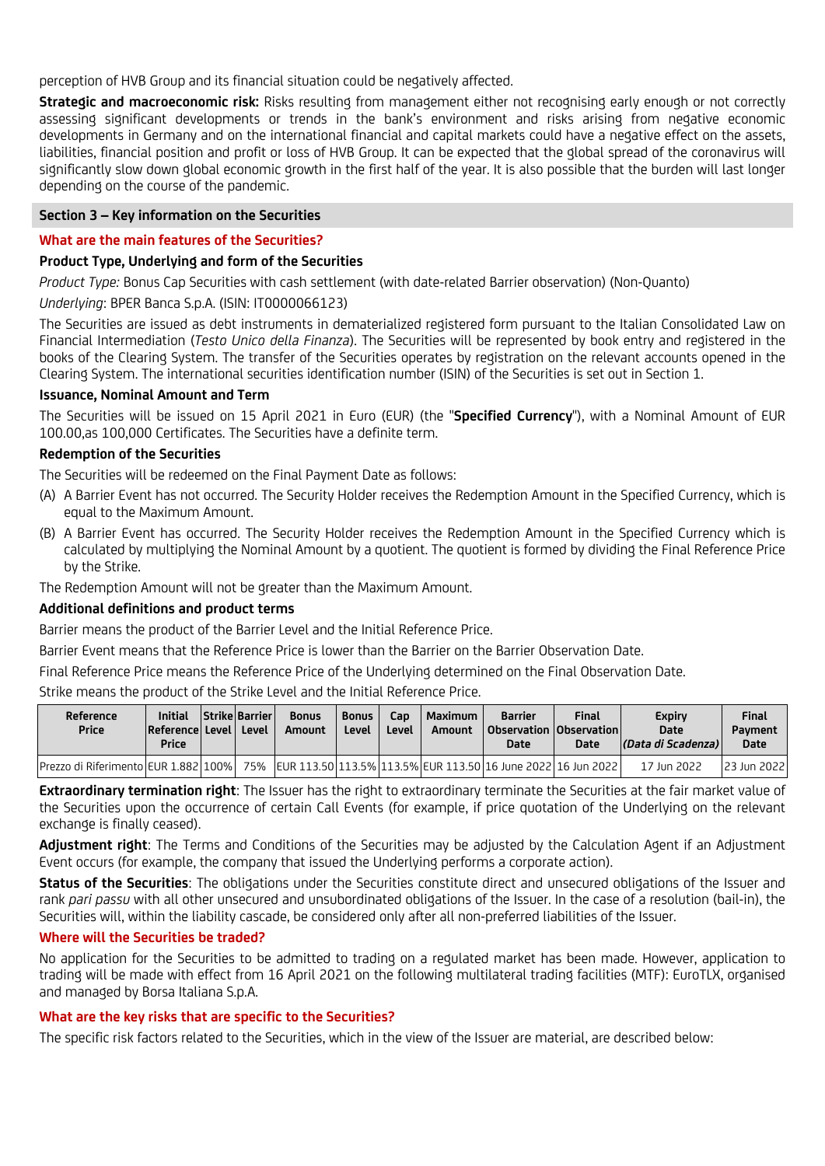perception of HVB Group and its financial situation could be negatively affected.

**Strategic and macroeconomic risk:** Risks resulting from management either not recognising early enough or not correctly assessing significant developments or trends in the bank's environment and risks arising from negative economic developments in Germany and on the international financial and capital markets could have a negative effect on the assets, liabilities, financial position and profit or loss of HVB Group. It can be expected that the global spread of the coronavirus will significantly slow down global economic growth in the first half of the year. It is also possible that the burden will last longer depending on the course of the pandemic.

### **Section 3 – Key information on the Securities**

### **What are the main features of the Securities?**

### **Product Type, Underlying and form of the Securities**

*Product Type:* Bonus Cap Securities with cash settlement (with date-related Barrier observation) (Non-Quanto)

*Underlying*: BPER Banca S.p.A. (ISIN: IT0000066123)

The Securities are issued as debt instruments in dematerialized registered form pursuant to the Italian Consolidated Law on Financial Intermediation (*Testo Unico della Finanza*). The Securities will be represented by book entry and registered in the books of the Clearing System. The transfer of the Securities operates by registration on the relevant accounts opened in the Clearing System. The international securities identification number (ISIN) of the Securities is set out in Section 1.

### **Issuance, Nominal Amount and Term**

The Securities will be issued on 15 April 2021 in Euro (EUR) (the "**Specified Currency**"), with a Nominal Amount of EUR 100.00,as 100,000 Certificates. The Securities have a definite term.

## **Redemption of the Securities**

The Securities will be redeemed on the Final Payment Date as follows:

- (A) A Barrier Event has not occurred. The Security Holder receives the Redemption Amount in the Specified Currency, which is equal to the Maximum Amount.
- (B) A Barrier Event has occurred. The Security Holder receives the Redemption Amount in the Specified Currency which is calculated by multiplying the Nominal Amount by a quotient. The quotient is formed by dividing the Final Reference Price by the Strike.

The Redemption Amount will not be greater than the Maximum Amount.

# **Additional definitions and product terms**

Barrier means the product of the Barrier Level and the Initial Reference Price.

Barrier Event means that the Reference Price is lower than the Barrier on the Barrier Observation Date.

Final Reference Price means the Reference Price of the Underlying determined on the Final Observation Date.

Strike means the product of the Strike Level and the Initial Reference Price.

| Reference<br><b>Price</b>               | <b>Initial</b><br>Reference Level<br><b>Price</b> | <b>Strike Barrier</b><br>Level | <b>Bonus</b><br>Amount | <b>Bonus</b><br>Level | Cap.<br>Level | Maximum<br>Amount | <b>Barrier</b><br>  Observation   Observation  <br>Date                    | <b>Final</b><br>Date | <b>Expiry</b><br>Date<br> (Data di Scadenza) | <b>Final</b><br><b>Payment</b><br><b>Date</b> |
|-----------------------------------------|---------------------------------------------------|--------------------------------|------------------------|-----------------------|---------------|-------------------|----------------------------------------------------------------------------|----------------------|----------------------------------------------|-----------------------------------------------|
| lPrezzo di RiferimentolEUR 1.882   100% |                                                   |                                |                        |                       |               |                   | 75%   EUR 113.50 113.5%   113.5%   EUR 113.50   16 June 2022   16 Jun 2022 |                      | 17 Jun 2022                                  | 123 Jun 2022                                  |

**Extraordinary termination right**: The Issuer has the right to extraordinary terminate the Securities at the fair market value of the Securities upon the occurrence of certain Call Events (for example, if price quotation of the Underlying on the relevant exchange is finally ceased).

**Adjustment right**: The Terms and Conditions of the Securities may be adjusted by the Calculation Agent if an Adjustment Event occurs (for example, the company that issued the Underlying performs a corporate action).

**Status of the Securities**: The obligations under the Securities constitute direct and unsecured obligations of the Issuer and rank *pari passu* with all other unsecured and unsubordinated obligations of the Issuer. In the case of a resolution (bail-in), the Securities will, within the liability cascade, be considered only after all non-preferred liabilities of the Issuer.

### **Where will the Securities be traded?**

No application for the Securities to be admitted to trading on a regulated market has been made. However, application to trading will be made with effect from 16 April 2021 on the following multilateral trading facilities (MTF): EuroTLX, organised and managed by Borsa Italiana S.p.A.

# **What are the key risks that are specific to the Securities?**

The specific risk factors related to the Securities, which in the view of the Issuer are material, are described below: